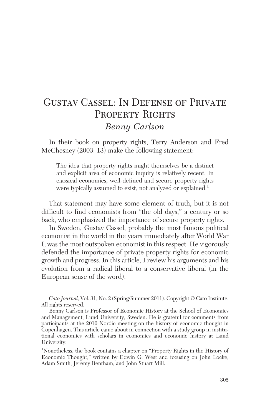# Gustav Cassel: In Defense of Private PROPERTY RIGHTS *Benny Carlson*

In their book on property rights, Terry Anderson and Fred McChesney (2003: 13) make the following statement:

The idea that property rights might themselves be a distinct and explicit area of economic inquiry is relatively recent. In classical economics, well-defined and secure property rights were typically assumed to exist, not analyzed or explained.<sup>1</sup>

That statement may have some element of truth, but it is not difficult to find economists from "the old days," a century or so back, who emphasized the importance of secure property rights.

In Sweden, Gustav Cassel, probably the most famous political economist in the world in the years immediately after World War I, was the most outspoken economist in this respect. He vigorously defended the importance of private property rights for economic growth and progress. In this article, I review his arguments and his evolution from a radical liberal to a conservative liberal (in the European sense of the word).

*Cato Journal*, Vol. 31, No. 2 (Spring/Summer 2011). Copyright © Cato Institute. All rights reserved.

Benny Carlson is Professor of Economic History at the School of Economics and Management, Lund University, Sweden. He is grateful for comments from participants at the 2010 Nordic meeting on the history of economic thought in Copenhagen. This article came about in connection with a study group in institutional economics with scholars in economics and economic history at Lund University.

<sup>&</sup>lt;sup>1</sup>Nonetheless, the book contains a chapter on "Property Rights in the History of Economic Thought," written by Edwin G. West and focusing on John Locke, Adam Smith, Jeremy Bentham, and John Stuart Mill.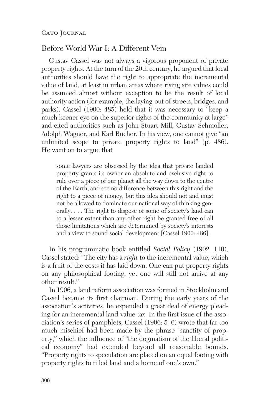# Before World War I: A Different Vein

Gustav Cassel was not always a vigorous proponent of private property rights. At the turn of the 20th century, he argued that local authorities should have the right to appropriate the incremental value of land, at least in urban areas where rising site values could be assumed almost without exception to be the result of local authority action (for example, the laying-out of streets, bridges, and parks). Cassel (1900: 485) held that it was necessary to "keep a much keener eye on the superior rights of the community at large" and cited authorities such as John Stuart Mill, Gustav Schmoller, Adolph Wagner, and Karl Bücher. In his view, one cannot give "an unlimited scope to private property rights to land" (p. 486). He went on to argue that

some lawyers are obsessed by the idea that private landed property grants its owner an absolute and exclusive right to rule over a piece of our planet all the way down to the centre of the Earth, and see no difference between this right and the right to a piece of money, but this idea should not and must not be allowed to dominate our national way of thinking generally. . . . The right to dispose of some of society's land can to a lesser extent than any other right be granted free of all those limitations which are determined by society's interests and a view to sound social development [Cassel 1900: 486].

In his programmatic book entitled *Social Policy* (1902: 110), Cassel stated: "The city has a *right* to the incremental value, which is a fruit of the costs it has laid down. One can put property rights on any philosophical footing, yet one will still not arrive at any other result."

In 1906, a land reform association was formed in Stockholm and Cassel became its first chairman. During the early years of the association's activities, he expended a great deal of energy pleading for an incremental land-value tax. In the first issue of the association's series of pamphlets, Cassel (1906: 5–6) wrote that far too much mischief had been made by the phrase "sanctity of property," which the influence of "the dogmatism of the liberal political economy" had extended beyond all reasonable bounds. "Property rights to speculation are placed on an equal footing with property rights to tilled land and a home of one's own."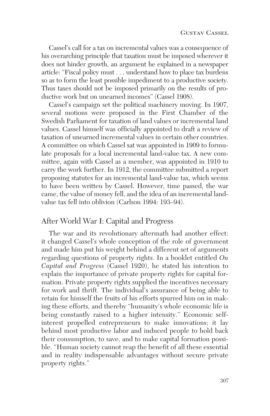Cassel's call for a tax on incremental values was a consequence of his overarching principle that taxation must be imposed wherever it does not hinder growth, an argument he explained in a newspaper article: "Fiscal policy must . . . understand how to place tax burdens so as to form the least possible impediment to a productive society. Thus taxes should not be imposed primarily on the results of productive work but on unearned incomes" (Cassel 1908).

Cassel's campaign set the political machinery moving. In 1907, several motions were proposed in the First Chamber of the Swedish Parliament for taxation of land values or incremental land values. Cassel himself was officially appointed to draft a review of taxation of unearned incremental values in certain other countries. A committee on which Cassel sat was appointed in 1909 to formulate proposals for a local incremental land-value tax. A new committee, again with Cassel as a member, was appointed in 1910 to carry the work further. In 1912, the committee submitted a report proposing statutes for an incremental land-value tax, which seems to have been written by Cassel. However, time passed, the war came, the value of money fell, and the idea of an incremental landvalue tax fell into oblivion (Carlson 1994: 193–94).

### After World War I: Capital and Progress

The war and its revolutionary aftermath had another effect: it changed Cassel's whole conception of the role of government and made him put his weight behind a different set of arguments regarding questions of property rights. In a booklet entitled *On Capital and Progress* (Cassel 1920), he stated his intention to explain the importance of private property rights for capital formation. Private property rights supplied the incentives necessary for work and thrift. The individual's assurance of being able to retain for himself the fruits of his efforts spurred him on in making these efforts, and thereby "humanity's whole economic life is being constantly raised to a higher intensity." Economic selfinterest propelled entrepreneurs to make innovations; it lay behind most productive labor and induced people to hold back their consumption, to save, and to make capital formation possible. "Human society cannot reap the benefit of all these essential and in reality indispensable advantages without secure private property rights."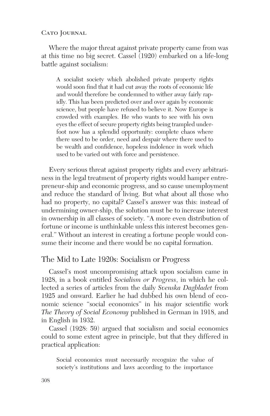CATO JOURNAL

Where the major threat against private property came from was at this time no big secret. Cassel (1920) embarked on a life-long battle against socialism:

A socialist society which abolished private property rights would soon find that it had cut away the roots of economic life and would therefore be condemned to wither away fairly rapidly. This has been predicted over and over again by economic science, but people have refused to believe it. Now Europe is crowded with examples. He who wants to see with his own eyes the effect of secure property rights being trampled underfoot now has a splendid opportunity: complete chaos where there used to be order, need and despair where there used to be wealth and confidence, hopeless indolence in work which used to be varied out with force and persistence.

Every serious threat against property rights and every arbitrariness in the legal treatment of property rights would hamper entrepreneur-ship and economic progress, and so cause unemployment and reduce the standard of living. But what about all those who had no property, no capital? Cassel's answer was this: instead of undermining owner-ship, the solution must be to increase interest in ownership in all classes of society. "A more even distribution of fortune or income is unthinkable unless this interest becomes general." Without an interest in creating a fortune people would consume their income and there would be no capital formation.

# The Mid to Late 1920s: Socialism or Progress

Cassel's most uncompromising attack upon socialism came in 1928, in a book entitled *Socialism or Progress*, in which he collected a series of articles from the daily *Svenska Dagbladet* from 1925 and onward. Earlier he had dubbed his own blend of economic science "social economics" in his major scientific work *The Theory of Social Economy* published in German in 1918, and in English in 1932.

Cassel (1928: 59) argued that socialism and social economics could to some extent agree in principle, but that they differed in practical application:

Social economics must necessarily recognize the value of society's institutions and laws according to the importance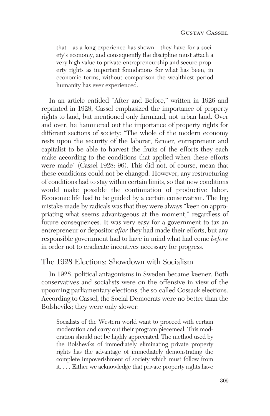that—as a long experience has shown—they have for a society's economy, and consequently the discipline must attach a very high value to private entrepreneurship and secure property rights as important foundations for what has been, in economic terms, without comparison the wealthiest period humanity has ever experienced.

In an article entitled "After and Before," written in 1926 and reprinted in 1928, Cassel emphasized the importance of property rights to land, but mentioned only farmland, not urban land. Over and over, he hammered out the importance of property rights for different sections of society: "The whole of the modern economy rests upon the security of the laborer, farmer, entrepreneur and capitalist to be able to harvest the fruits of the efforts they each make according to the conditions that applied when these efforts were made" (Cassel 1928: 96). This did not, of course, mean that these conditions could not be changed. However, any restructuring of conditions had to stay within certain limits, so that new conditions would make possible the continuation of productive labor. Economic life had to be guided by a certain conservatism. The big mistake made by radicals was that they were always "keen on appropriating what seems advantageous at the moment," regardless of future consequences. It was very easy for a government to tax an entrepreneur or depositor *after* they had made their efforts, but any responsible government had to have in mind what had come *before* in order not to eradicate incentives necessary for progress.

#### The 1928 Elections: Showdown with Socialism

In 1928, political antagonisms in Sweden became keener. Both conservatives and socialists were on the offensive in view of the upcoming parliamentary elections, the so-called Cossack elections. According to Cassel, the Social Democrats were no better than the Bolsheviks; they were only slower:

Socialists of the Western world want to proceed with certain moderation and carry out their program piecemeal. This moderation should not be highly appreciated. The method used by the Bolsheviks of immediately eliminating private property rights has the advantage of immediately demonstrating the complete impoverishment of society which must follow from it. . . . Either we acknowledge that private property rights have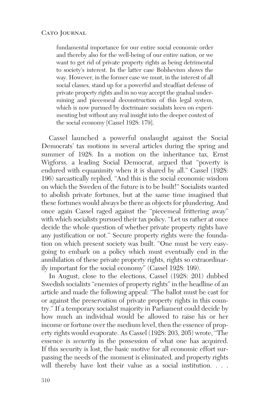#### CATO JOURNAL

fundamental importance for our entire social economic order and thereby also for the well-being of our entire nation, or we want to get rid of private property rights as being detrimental to society's interest. In the latter case Bolshevism shows the way. However, in the former case we must, in the interest of all social classes, stand up for a powerful and steadfast defense of private property rights and in no way accept the gradual undermining and piecemeal deconstruction of this legal system, which is now pursued by doctrinaire socialists keen on experimenting but without any real insight into the deeper context of the social economy [Cassel 1928: 179].

Cassel launched a powerful onslaught against the Social Democrats' tax motions in several articles during the spring and summer of 1928. In a motion on the inheritance tax, Ernst Wigforss, a leading Social Democrat, argued that "poverty is endured with equanimity when it is shared by all." Cassel (1928: 196) sarcastically replied, "And this is the social economic wisdom on which the Sweden of the future is to be built!" Socialists wanted to abolish private fortunes, but at the same time imagined that these fortunes would always be there as objects for plundering. And once again Cassel raged against the "piecemeal frittering away" with which socialists pursued their tax policy. "Let us rather at once decide the whole question of whether private property rights have any justification or not." Secure property rights were the foundation on which present society was built. "One must be very easygoing to embark on a policy which must eventually end in the annihilation of these private property rights, rights so extraordinarily important for the social economy" (Cassel 1928: 199).

In August, close to the elections, Cassel (1928: 201) dubbed Swedish socialists "enemies of property rights" in the headline of an article and made the following appeal: "The ballot must be cast for or against the preservation of private property rights in this country." If a temporary socialist majority in Parliament could decide by how much an individual would be allowed to raise his or her income or fortune over the medium level, then the essence of property rights would evaporate. As Cassel (1928: 203, 205) wrote, "The essence is *security* in the possession of what one has acquired. If this security is lost, the basic motive for all economic effort surpassing the needs of the moment is eliminated, and property rights will thereby have lost their value as a social institution. . . .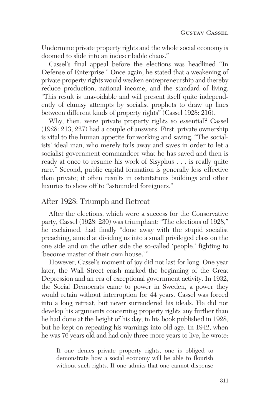Undermine private property rights and the whole social economy is doomed to slide into an indescribable chaos."

Cassel's final appeal before the elections was headlined "In Defense of Enterprise." Once again, he stated that a weakening of private property rights would weaken entrepreneurship and thereby reduce production, national income, and the standard of living. "This result is unavoidable and will present itself quite independently of clumsy attempts by socialist prophets to draw up lines between different kinds of property rights" (Cassel 1928: 216).

Why, then, were private property rights so essential? Cassel (1928: 213, 227) had a couple of answers. First, private ownership is vital to the human appetite for working and saving. "The socialists' ideal man, who merely toils away and saves in order to let a socialist government commandeer what he has saved and then is ready at once to resume his work of Sisyphus . . . is really quite rare." Second, public capital formation is generally less effective than private; it often results in ostentatious buildings and other luxuries to show off to "astounded foreigners."

### After 1928: Triumph and Retreat

After the elections, which were a success for the Conservative party, Cassel (1928: 230) was triumphant: "The elections of 1928," he exclaimed, had finally "done away with the stupid socialist preaching, aimed at dividing us into a small privileged class on the one side and on the other side the so-called 'people,' fighting to 'become master of their own house.'"

However, Cassel's moment of joy did not last for long. One year later, the Wall Street crash marked the beginning of the Great Depression and an era of exceptional government activity. In 1932, the Social Democrats came to power in Sweden, a power they would retain without interruption for 44 years. Cassel was forced into a long retreat, but never surrendered his ideals. He did not develop his arguments concerning property rights any further than he had done at the height of his day, in his book published in 1928, but he kept on repeating his warnings into old age. In 1942, when he was 76 years old and had only three more years to live, he wrote:

If one denies private property rights, one is obliged to demonstrate how a social economy will be able to flourish without such rights. If one admits that one cannot dispense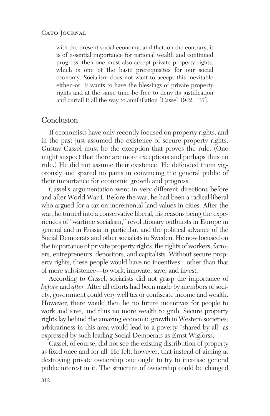with the present social economy, and that, on the contrary, it is of essential importance for national wealth and continued progress, then one must also accept private property rights, which is one of the basic prerequisites for our social economy. Socialism does not want to accept this inevitable either–or. It wants to have the blessings of private property rights and at the same time be free to deny its justification and curtail it all the way to annihilation [Cassel 1942: 137].

## Conclusion

If economists have only recently focused on property rights, and in the past just assumed the existence of secure property rights, Gustav Cassel must be the exception that proves the rule. (One might suspect that there are more exceptions and perhaps thus no rule.) He did not assume their existence. He defended them vigorously and spared no pains in convincing the general public of their importance for economic growth and progress.

Cassel's argumentation went in very different directions before and after World War I. Before the war, he had been a radical liberal who argued for a tax on incremental land values in cities. After the war, he turned into a conservative liberal, his reasons being the experiences of "wartime socialism," revolutionary outbursts in Europe in general and in Russia in particular, and the political advance of the Social Democrats and other socialists in Sweden. He now focused on the importance of private property rights, the rights of workers, farmers, entrepreneurs, depositors, and capitalists. Without secure property rights, these people would have no incentives—other than that of mere subsistence—to work, innovate, save, and invest.

According to Cassel, socialists did not grasp the importance of *before* and *after*. After all efforts had been made by members of society, government could very well tax or confiscate income and wealth. However, there would then be no future incentives for people to work and save, and thus no more wealth to grab. Secure property rights lay behind the amazing economic growth in Western societies; arbitrariness in this area would lead to a poverty "shared by all" as expressed by such leading Social Democrats as Ernst Wigforss.

Cassel, of course, did not see the existing distribution of property as fixed once and for all. He felt, however, that instead of aiming at destroying private ownership one ought to try to increase general public interest in it. The structure of ownership could be changed